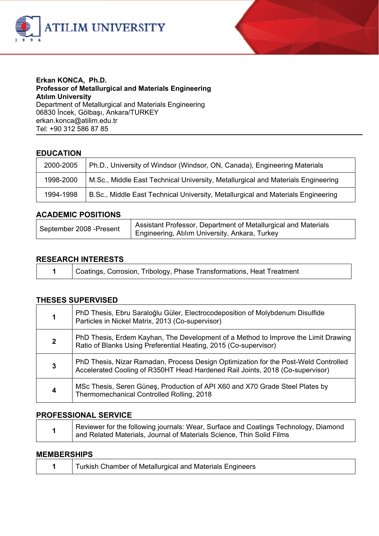



#### **Erkan KONCA, Ph.D. Professor of Metallurgical and Materials Engineering Atılım University**  Department of Metallurgical and Materials Engineering 06830 İncek, Gölbaşı, Ankara/TURKEY

erkan.konca@atilim.edu.tr Tel: +90 312 586 87 85

# **EDUCATION**

| 2000-2005 | Ph.D., University of Windsor (Windsor, ON, Canada), Engineering Materials        |
|-----------|----------------------------------------------------------------------------------|
| 1998-2000 | M.Sc., Middle East Technical University, Metallurgical and Materials Engineering |
| 1994-1998 | B.Sc., Middle East Technical University, Metallurgical and Materials Engineering |

## **ACADEMIC POSITIONS**

| Assistant Professor, Department of Metallurgical and Materials<br>September 2008 - Present<br>Engineering, Atılım University, Ankara, Turkey |
|----------------------------------------------------------------------------------------------------------------------------------------------|
|----------------------------------------------------------------------------------------------------------------------------------------------|

## **RESEARCH INTERESTS**

**1** Coatings, Corrosion, Tribology, Phase Transformations, Heat Treatment

## **THESES SUPERVISED**

|              | PhD Thesis, Ebru Saraloğlu Güler, Electrocodeposition of Molybdenum Disulfide<br>Particles in Nickel Matrix, 2013 (Co-supervisor)                                    |
|--------------|----------------------------------------------------------------------------------------------------------------------------------------------------------------------|
| $\mathbf{2}$ | PhD Thesis, Erdem Kayhan, The Development of a Method to Improve the Limit Drawing<br>Ratio of Blanks Using Preferential Heating, 2015 (Co-supervisor)               |
| 3            | PhD Thesis, Nizar Ramadan, Process Design Optimization for the Post-Weld Controlled<br>Accelerated Cooling of R350HT Head Hardened Rail Joints, 2018 (Co-supervisor) |
| 4            | MSc Thesis, Seren Güneş, Production of API X60 and X70 Grade Steel Plates by<br>Thermomechanical Controlled Rolling, 2018                                            |

## **PROFESSIONAL SERVICE**

| Reviewer for the following journals: Wear, Surface and Coatings Technology, Diamond<br>and Related Materials, Journal of Materials Science, Thin Solid Films |
|--------------------------------------------------------------------------------------------------------------------------------------------------------------|
|                                                                                                                                                              |

#### **MEMBERSHIPS**

|  | Turkish Chamber of Metallurgical and Materials Engineers |
|--|----------------------------------------------------------|
|--|----------------------------------------------------------|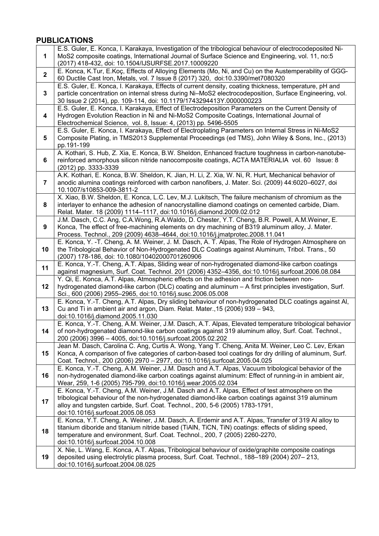# **PUBLICATIONS**

| 1                       | E.S. Guler, E. Konca, I. Karakaya, Investigation of the tribological behaviour of electrocodeposited Ni-<br>MoS2 composite coatings, International Journal of Surface Science and Engineering, vol. 11, no:5<br>(2017) 418-432, doi: 10.1504/IJSURFSE.2017.10009220                                                             |
|-------------------------|---------------------------------------------------------------------------------------------------------------------------------------------------------------------------------------------------------------------------------------------------------------------------------------------------------------------------------|
| $\mathbf 2$             | E. Konca, K.Tur, E.Koç, Effects of Alloying Elements (Mo, Ni, and Cu) on the Austemperability of GGG-<br>60 Ductile Cast Iron, Metals, vol. 7 Issue 8 (2017) 320, doi:10.3390/met7080320                                                                                                                                        |
| 3                       | E.S. Guler, E. Konca, I. Karakaya, Effects of current density, coating thickness, temperature, pH and<br>particle concentration on internal stress during Ni-MoS2 electrocodeposition, Surface Engineering, vol.<br>30 Issue 2 (2014), pp. 109-114, doi: 10.1179/1743294413Y.0000000223                                         |
| $\overline{\mathbf{4}}$ | E.S. Guler, E. Konca, I. Karakaya, Effect of Electrodeposition Parameters on the Current Density of<br>Hydrogen Evolution Reaction in Ni and Ni-MoS2 Composite Coatings, International Journal of<br>Electrochemical Science, vol. 8, Issue: 4, (2013) pp. 5496-5505                                                            |
| 5                       | E.S. Guler, E. Konca, I. Karakaya, Effect of Electroplating Parameters on Internal Stress in Ni-MoS2<br>Composite Plating, in TMS2013 Supplemental Proceedings (ed TMS), John Wiley & Sons, Inc., (2013)<br>pp.191-199                                                                                                          |
| 6                       | A. Kothari, S. Hub, Z. Xia, E. Konca, B.W. Sheldon, Enhanced fracture toughness in carbon-nanotube-<br>reinforced amorphous silicon nitride nanocomposite coatings, ACTA MATERIALIA vol. 60 Issue: 8<br>(2012) pp. 3333-3339                                                                                                    |
| 7                       | A.K. Kothari, E. Konca, B.W. Sheldon, K. Jian, H. Li, Z. Xia, W. Ni, R. Hurt, Mechanical behavior of<br>anodic alumina coatings reinforced with carbon nanofibers, J. Mater. Sci. (2009) 44:6020-6027, doi<br>10.1007/s10853-009-3811-2                                                                                         |
| 8                       | X. Xiao, B.W. Sheldon, E. Konca, L.C. Lev, M.J. Lukitsch, The failure mechanism of chromium as the<br>interlayer to enhance the adhesion of nanocrystalline diamond coatings on cemented carbide, Diam.<br>Relat. Mater. 18 (2009) 1114-1117, doi:10.1016/j.diamond.2009.02.012                                                 |
| 9                       | J.M. Dasch, C.C. Ang, C.A.Wong, R.A.Waldo, D. Chester, Y.T. Cheng, B.R. Powell, A.M.Weiner, E.<br>Konca, The effect of free-machining elements on dry machining of B319 aluminum alloy, J. Mater.<br>Process. Technol., 209 (2009) 4638-4644, doi:10.1016/j.jmatprotec.2008.11.041                                              |
| 10                      | E. Konca, Y. -T. Cheng, A. M. Weiner, J. M. Dasch, A. T. Alpas, The Role of Hydrogen Atmosphere on<br>the Tribological Behavior of Non-Hydrogenated DLC Coatings against Aluminum, Tribol. Trans., 50<br>(2007) 178-186, doi: 10.1080/10402000701260906                                                                         |
| 11                      | E. Konca, Y.-T. Cheng, A.T. Alpas, Sliding wear of non-hydrogenated diamond-like carbon coatings<br>against magnesium, Surf. Coat. Technol. 201 (2006) 4352-4356, doi:10.1016/j.surfcoat.2006.08.084                                                                                                                            |
| 12                      | Y. Qi, E. Konca, A.T. Alpas, Atmospheric effects on the adhesion and friction between non-<br>hydrogenated diamond-like carbon (DLC) coating and aluminum - A first principles investigation, Surf.<br>Sci., 600 (2006) 2955-2965, doi:10.1016/j.susc.2006.05.008                                                               |
| 13                      | E. Konca, Y.-T. Cheng, A.T. Alpas, Dry sliding behaviour of non-hydrogenated DLC coatings against Al,<br>Cu and Ti in ambient air and argon, Diam. Relat. Mater., 15 (2006) 939 - 943,<br>doi:10.1016/j.diamond.2005.11.030                                                                                                     |
| 14                      | E. Konca, Y.-T. Cheng, A.M. Weiner, J.M. Dasch, A.T. Alpas, Elevated temperature tribological behavior<br>of non-hydrogenated diamond-like carbon coatings against 319 aluminum alloy, Surf. Coat. Technol.,<br>200 (2006) 3996 - 4005, doi:10.1016/j.surfcoat.2005.02.202                                                      |
| 15                      | Jean M. Dasch, Carolina C. Ang, Curtis A. Wong, Yang T. Cheng, Anita M. Weiner, Leo C. Lev, Erkan<br>Konca, A comparison of five categories of carbon-based tool coatings for dry drilling of aluminum, Surf.<br>Coat. Technol., 200 (2006) 2970 - 2977, doi:10.1016/j.surfcoat.2005.04.025                                     |
| 16                      | E. Konca, Y.-T. Cheng, A.M. Weiner, J.M. Dasch and A.T. Alpas, Vacuum tribological behavior of the<br>non-hydrogenated diamond-like carbon coatings against aluminum: Effect of running-in in ambient air,<br>Wear, 259, 1-6 (2005) 795-799, doi:10.1016/j.wear.2005.02.034                                                     |
| 17                      | E. Konca, Y.-T. Cheng, A.M. Weiner, J.M. Dasch and A.T. Alpas, Effect of test atmosphere on the<br>tribological behaviour of the non-hydrogenated diamond-like carbon coatings against 319 aluminum<br>alloy and tungsten carbide, Surf. Coat. Technol., 200, 5-6 (2005) 1783-1791,<br>doi:10.1016/j.surfcoat.2005.08.053       |
| 18                      | E. Konca, Y.T. Cheng, A. Weiner, J.M. Dasch, A. Erdemir and A.T. Alpas, Transfer of 319 Al alloy to<br>titanium diboride and titanium nitride based (TiAIN, TiCN, TiN) coatings: effects of sliding speed,<br>temperature and environment, Surf. Coat. Technol., 200, 7 (2005) 2260-2270,<br>doi:10.1016/j.surfcoat.2004.10.008 |
| 19                      | X. Nie, L. Wang, E. Konca, A.T. Alpas, Tribological behaviour of oxide/graphite composite coatings<br>deposited using electrolytic plasma process, Surf. Coat. Technol., 188-189 (2004) 207-213,<br>doi:10.1016/j.surfcoat.2004.08.025                                                                                          |